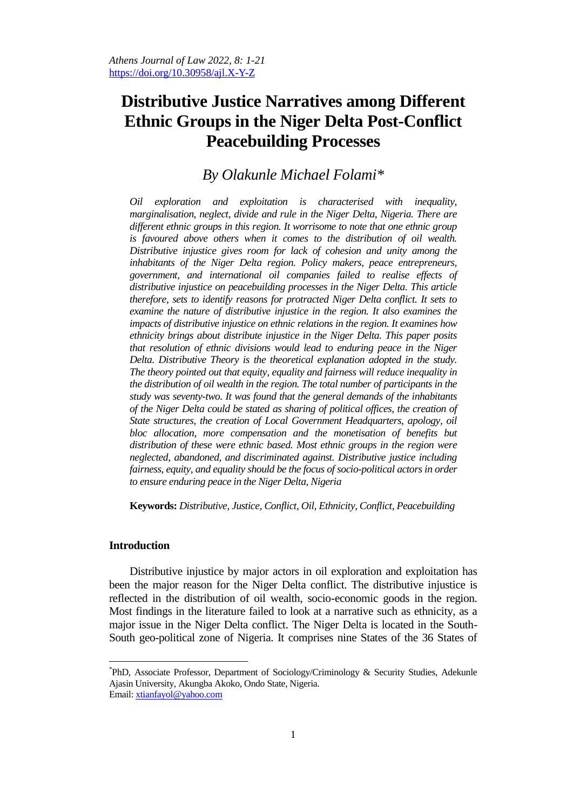# **Distributive Justice Narratives among Different Ethnic Groups in the Niger Delta Post-Conflict Peacebuilding Processes**

## *By Olakunle Michael Folami\**

*Oil exploration and exploitation is characterised with inequality, marginalisation, neglect, divide and rule in the Niger Delta, Nigeria. There are different ethnic groups in this region. It worrisome to note that one ethnic group is favoured above others when it comes to the distribution of oil wealth. Distributive injustice gives room for lack of cohesion and unity among the inhabitants of the Niger Delta region. Policy makers, peace entrepreneurs, government, and international oil companies failed to realise effects of distributive injustice on peacebuilding processes in the Niger Delta. This article therefore, sets to identify reasons for protracted Niger Delta conflict. It sets to*  examine the nature of distributive injustice in the region. It also examines the *impacts of distributive injustice on ethnic relations in the region. It examines how ethnicity brings about distribute injustice in the Niger Delta. This paper posits that resolution of ethnic divisions would lead to enduring peace in the Niger Delta. Distributive Theory is the theoretical explanation adopted in the study. The theory pointed out that equity, equality and fairness will reduce inequality in the distribution of oil wealth in the region. The total number of participants in the study was seventy-two. It was found that the general demands of the inhabitants of the Niger Delta could be stated as sharing of political offices, the creation of State structures, the creation of Local Government Headquarters, apology, oil bloc allocation, more compensation and the monetisation of benefits but distribution of these were ethnic based. Most ethnic groups in the region were neglected, abandoned, and discriminated against. Distributive justice including fairness, equity, and equality should be the focus of socio-political actors in order to ensure enduring peace in the Niger Delta, Nigeria*

**Keywords:** *Distributive, Justice, Conflict, Oil, Ethnicity, Conflict, Peacebuilding*

## **Introduction**

 $\overline{a}$ 

Distributive injustice by major actors in oil exploration and exploitation has been the major reason for the Niger Delta conflict. The distributive injustice is reflected in the distribution of oil wealth, socio-economic goods in the region. Most findings in the literature failed to look at a narrative such as ethnicity, as a major issue in the Niger Delta conflict. The Niger Delta is located in the South-South geo-political zone of Nigeria. It comprises nine States of the 36 States of

<sup>\*</sup> PhD, Associate Professor, Department of Sociology/Criminology & Security Studies, Adekunle Ajasin University, Akungba Akoko, Ondo State, Nigeria. Email: [xtianfayol@yahoo.com](mailto:xtianfayol@yahoo.com)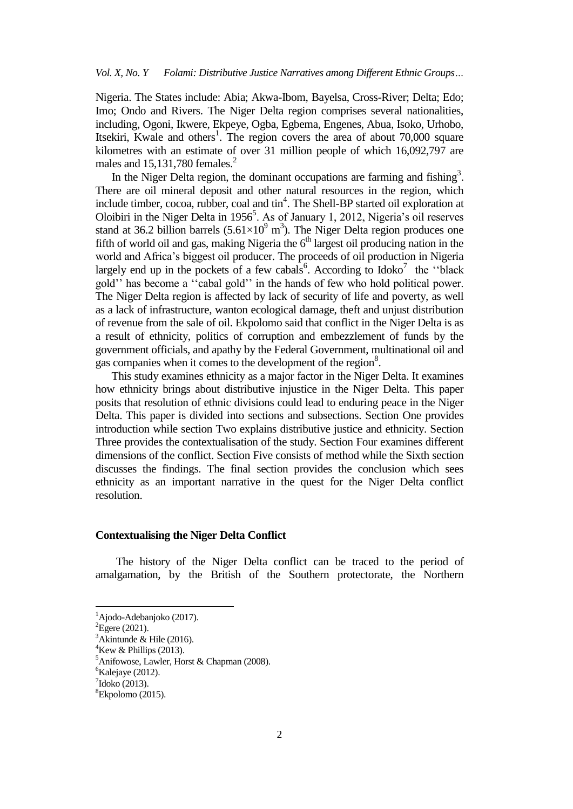Nigeria. The States include: Abia; Akwa-Ibom, Bayelsa, Cross-River; Delta; Edo; Imo; Ondo and Rivers. The Niger Delta region comprises several nationalities, including, Ogoni, Ikwere, Ekpeye, Ogba, Egbema, Engenes, Abua, Isoko, Urhobo, Itsekiri, Kwale and others<sup>1</sup>. The region covers the area of about  $70,000$  square kilometres with an estimate of over 31 million people of which 16,092,797 are males and  $15,131,780$  females.<sup>2</sup>

In the Niger Delta region, the dominant occupations are farming and fishing<sup>3</sup>. There are oil mineral deposit and other natural resources in the region, which include timber, cocoa, rubber, coal and  $\text{tin}^4$ . The Shell-BP started oil exploration at Oloibiri in the Niger Delta in  $1956^5$ . As of January 1, 2012, Nigeria's oil reserves stand at 36.2 billion barrels  $(5.61 \times 10^{9} \text{ m}^3)$ . The Niger Delta region produces one fifth of world oil and gas, making Nigeria the  $6<sup>th</sup>$  largest oil producing nation in the world and Africa"s biggest oil producer. The proceeds of oil production in Nigeria largely end up in the pockets of a few cabals<sup>6</sup>. According to Idoko<sup>7</sup> the "black gold"" has become a ""cabal gold"" in the hands of few who hold political power. The Niger Delta region is affected by lack of security of life and poverty, as well as a lack of infrastructure, wanton ecological damage, theft and unjust distribution of revenue from the sale of oil. Ekpolomo said that conflict in the Niger Delta is as a result of ethnicity, politics of corruption and embezzlement of funds by the government officials, and apathy by the Federal Government, multinational oil and gas companies when it comes to the development of the region<sup>8</sup>.

 This study examines ethnicity as a major factor in the Niger Delta. It examines how ethnicity brings about distributive injustice in the Niger Delta. This paper posits that resolution of ethnic divisions could lead to enduring peace in the Niger Delta. This paper is divided into sections and subsections. Section One provides introduction while section Two explains distributive justice and ethnicity. Section Three provides the contextualisation of the study. Section Four examines different dimensions of the conflict. Section Five consists of method while the Sixth section discusses the findings. The final section provides the conclusion which sees ethnicity as an important narrative in the quest for the Niger Delta conflict resolution.

#### **Contextualising the Niger Delta Conflict**

The history of the Niger Delta conflict can be traced to the period of amalgamation, by the British of the Southern protectorate, the Northern

 ${}^{1}$ Ajodo-Adebanjoko (2017).

 ${}^{2}$ Egere (2021).

 $3$ Akintunde & Hile (2016).

 $4$ Kew & Phillips (2013).

<sup>5</sup>Anifowose, Lawler, Horst & Chapman (2008).

 ${}^{6}$ Kalejaye (2012).

 $7$ Idoko (2013).

<sup>8</sup>Ekpolomo (2015).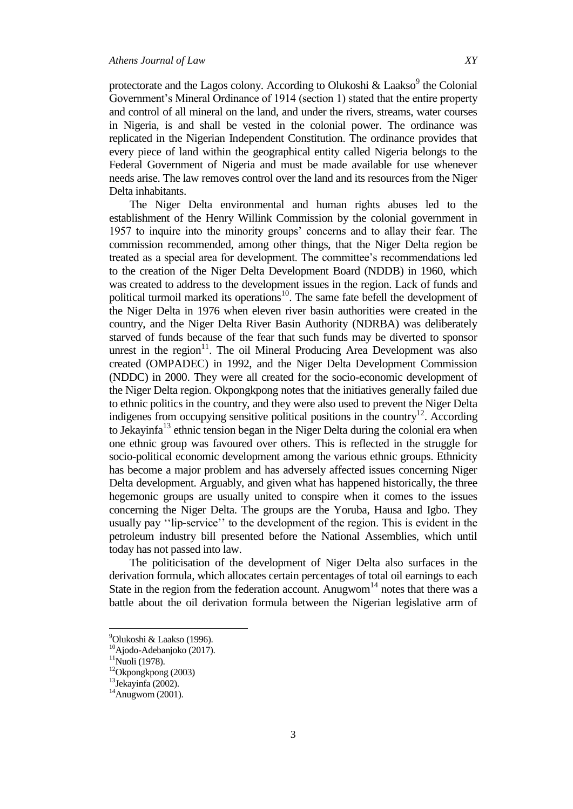protectorate and the Lagos colony. According to Olukoshi & Laakso<sup>9</sup> the Colonial Government's Mineral Ordinance of 1914 (section 1) stated that the entire property and control of all mineral on the land, and under the rivers, streams, water courses in Nigeria, is and shall be vested in the colonial power. The ordinance was replicated in the Nigerian Independent Constitution. The ordinance provides that every piece of land within the geographical entity called Nigeria belongs to the Federal Government of Nigeria and must be made available for use whenever needs arise. The law removes control over the land and its resources from the Niger Delta inhabitants.

The Niger Delta environmental and human rights abuses led to the establishment of the Henry Willink Commission by the colonial government in 1957 to inquire into the minority groups" concerns and to allay their fear. The commission recommended, among other things, that the Niger Delta region be treated as a special area for development. The committee"s recommendations led to the creation of the Niger Delta Development Board (NDDB) in 1960, which was created to address to the development issues in the region. Lack of funds and political turmoil marked its operations<sup>10</sup>. The same fate befell the development of the Niger Delta in 1976 when eleven river basin authorities were created in the country, and the Niger Delta River Basin Authority (NDRBA) was deliberately starved of funds because of the fear that such funds may be diverted to sponsor unrest in the region $11$ . The oil Mineral Producing Area Development was also created (OMPADEC) in 1992, and the Niger Delta Development Commission (NDDC) in 2000. They were all created for the socio-economic development of the Niger Delta region. Okpongkpong notes that the initiatives generally failed due to ethnic politics in the country, and they were also used to prevent the Niger Delta indigenes from occupying sensitive political positions in the country<sup>12</sup>. According to Jekayinfa<sup>13</sup> ethnic tension began in the Niger Delta during the colonial era when one ethnic group was favoured over others. This is reflected in the struggle for socio-political economic development among the various ethnic groups. Ethnicity has become a major problem and has adversely affected issues concerning Niger Delta development. Arguably, and given what has happened historically, the three hegemonic groups are usually united to conspire when it comes to the issues concerning the Niger Delta. The groups are the Yoruba, Hausa and Igbo. They usually pay "lip-service" to the development of the region. This is evident in the petroleum industry bill presented before the National Assemblies, which until today has not passed into law.

The politicisation of the development of Niger Delta also surfaces in the derivation formula, which allocates certain percentages of total oil earnings to each State in the region from the federation account. Anugwom<sup>14</sup> notes that there was a battle about the oil derivation formula between the Nigerian legislative arm of

<sup>&</sup>lt;sup>9</sup>Olukoshi & Laakso (1996).

<sup>10</sup>Ajodo-Adebanjoko (2017).

 $11$ Nuoli (1978).

 $12$ Okpongkpong (2003)

 $13$ Jekayinfa (2002).

 $14$ Anugwom (2001).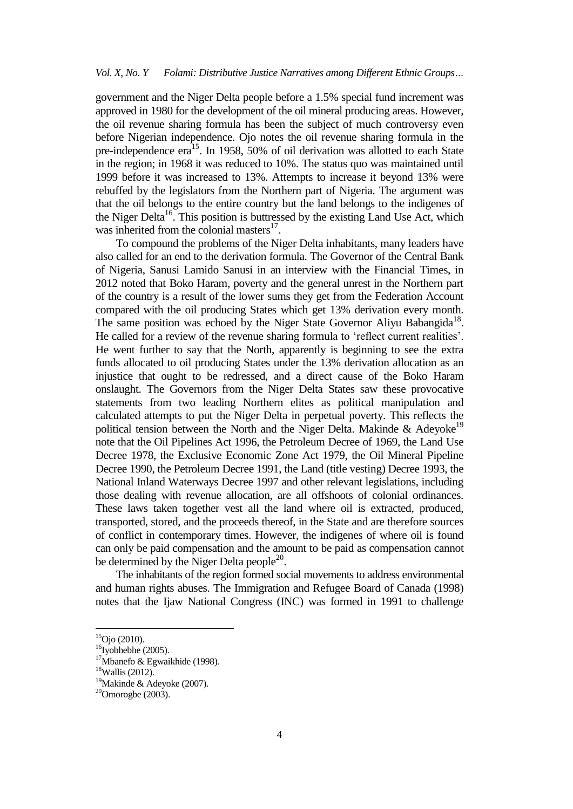government and the Niger Delta people before a 1.5% special fund increment was approved in 1980 for the development of the oil mineral producing areas. However, the oil revenue sharing formula has been the subject of much controversy even before Nigerian independence. Ojo notes the oil revenue sharing formula in the pre-independence  $era^{15}$ . In 1958, 50% of oil derivation was allotted to each State in the region; in 1968 it was reduced to 10%. The status quo was maintained until 1999 before it was increased to 13%. Attempts to increase it beyond 13% were rebuffed by the legislators from the Northern part of Nigeria. The argument was that the oil belongs to the entire country but the land belongs to the indigenes of the Niger Delta<sup>16</sup>. This position is buttressed by the existing Land Use Act, which was inherited from the colonial masters $^{17}$ .

To compound the problems of the Niger Delta inhabitants, many leaders have also called for an end to the derivation formula. The Governor of the Central Bank of Nigeria, Sanusi Lamido Sanusi in an interview with the Financial Times, in 2012 noted that Boko Haram, poverty and the general unrest in the Northern part of the country is a result of the lower sums they get from the Federation Account compared with the oil producing States which get 13% derivation every month. The same position was echoed by the Niger State Governor Aliyu Babangida<sup>18</sup>. He called for a review of the revenue sharing formula to 'reflect current realities'. He went further to say that the North, apparently is beginning to see the extra funds allocated to oil producing States under the 13% derivation allocation as an injustice that ought to be redressed, and a direct cause of the Boko Haram onslaught. The Governors from the Niger Delta States saw these provocative statements from two leading Northern elites as political manipulation and calculated attempts to put the Niger Delta in perpetual poverty. This reflects the political tension between the North and the Niger Delta. Makinde  $\&$  Adeyoke<sup>19</sup> note that the Oil Pipelines Act 1996, the Petroleum Decree of 1969, the Land Use Decree 1978, the Exclusive Economic Zone Act 1979, the Oil Mineral Pipeline Decree 1990, the Petroleum Decree 1991, the Land (title vesting) Decree 1993, the National Inland Waterways Decree 1997 and other relevant legislations, including those dealing with revenue allocation, are all offshoots of colonial ordinances. These laws taken together vest all the land where oil is extracted, produced, transported, stored, and the proceeds thereof, in the State and are therefore sources of conflict in contemporary times. However, the indigenes of where oil is found can only be paid compensation and the amount to be paid as compensation cannot be determined by the Niger Delta people<sup>20</sup>.

The inhabitants of the region formed social movements to address environmental and human rights abuses. The Immigration and Refugee Board of Canada (1998) notes that the Ijaw National Congress (INC) was formed in 1991 to challenge

 $\ddot{\phantom{a}}$ 

 ${}^{15}$ Ojo (2010).

 $16$ Iyobhebhe (2005).

<sup>&</sup>lt;sup>17</sup>Mbanefo & Egwaikhide (1998).

 $18$ Wallis (2012).

<sup>19</sup>Makinde & Adeyoke (2007).

 $20$ Omorogbe (2003).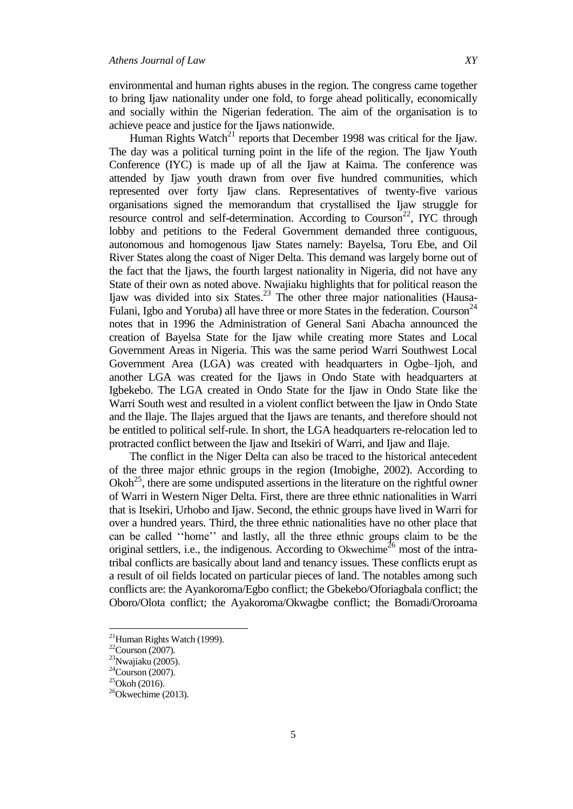environmental and human rights abuses in the region. The congress came together to bring Ijaw nationality under one fold, to forge ahead politically, economically and socially within the Nigerian federation. The aim of the organisation is to achieve peace and justice for the Ijaws nationwide.

Human Rights Watch<sup>21</sup> reports that December 1998 was critical for the Ijaw. The day was a political turning point in the life of the region. The Ijaw Youth Conference (IYC) is made up of all the Ijaw at Kaima. The conference was attended by Ijaw youth drawn from over five hundred communities, which represented over forty Ijaw clans. Representatives of twenty-five various organisations signed the memorandum that crystallised the Ijaw struggle for resource control and self-determination. According to Courson<sup>22</sup>, IYC through lobby and petitions to the Federal Government demanded three contiguous, autonomous and homogenous Ijaw States namely: Bayelsa, Toru Ebe, and Oil River States along the coast of Niger Delta. This demand was largely borne out of the fact that the Ijaws, the fourth largest nationality in Nigeria, did not have any State of their own as noted above. Nwajiaku highlights that for political reason the Ijaw was divided into six States.<sup>23</sup> The other three major nationalities (Hausa-Fulani, Igbo and Yoruba) all have three or more States in the federation. Courson<sup>24</sup> notes that in 1996 the Administration of General Sani Abacha announced the creation of Bayelsa State for the Ijaw while creating more States and Local Government Areas in Nigeria. This was the same period Warri Southwest Local Government Area (LGA) was created with headquarters in Ogbe–Ijoh, and another LGA was created for the Ijaws in Ondo State with headquarters at Igbekebo. The LGA created in Ondo State for the Ijaw in Ondo State like the Warri South west and resulted in a violent conflict between the Ijaw in Ondo State and the Ilaje. The Ilajes argued that the Ijaws are tenants, and therefore should not be entitled to political self-rule. In short, the LGA headquarters re-relocation led to protracted conflict between the Ijaw and Itsekiri of Warri, and Ijaw and Ilaje.

The conflict in the Niger Delta can also be traced to the historical antecedent of the three major ethnic groups in the region (Imobighe, 2002). According to  $Okoh<sup>25</sup>$ , there are some undisputed assertions in the literature on the rightful owner of Warri in Western Niger Delta. First, there are three ethnic nationalities in Warri that is Itsekiri, Urhobo and Ijaw. Second, the ethnic groups have lived in Warri for over a hundred years. Third, the three ethnic nationalities have no other place that can be called ""home"" and lastly, all the three ethnic groups claim to be the original settlers, i.e., the indigenous. According to Okwechime<sup>26</sup> most of the intratribal conflicts are basically about land and tenancy issues. These conflicts erupt as a result of oil fields located on particular pieces of land. The notables among such conflicts are: the Ayankoroma/Egbo conflict; the Gbekebo/Oforiagbala conflict; the Oboro/Olota conflict; the Ayakoroma/Okwagbe conflict; the Bomadi/Ororoama

 $^{21}$ Human Rights Watch (1999).

 $22$ Courson (2007).

 $23$ Nwajiaku (2005).

 $24$ Courson (2007).

 $25$ Okoh (2016).

 $^{26}$ Okwechime (2013).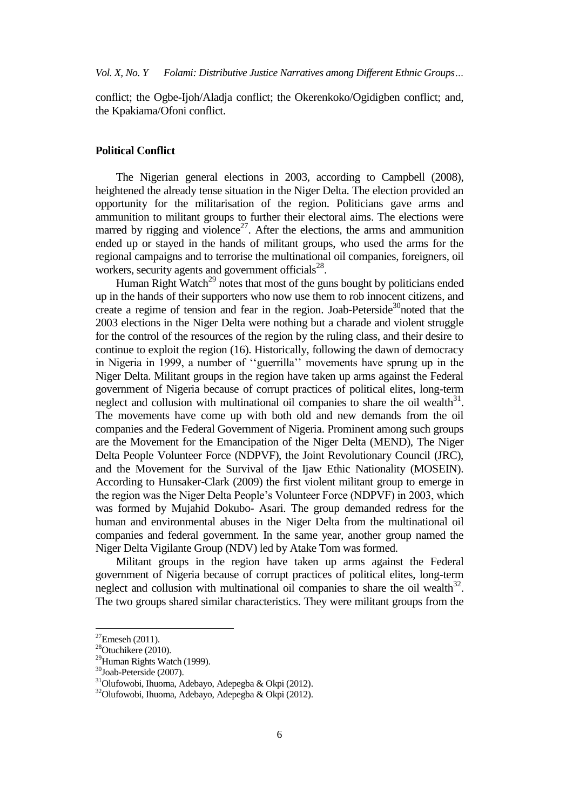conflict; the Ogbe-Ijoh/Aladja conflict; the Okerenkoko/Ogidigben conflict; and, the Kpakiama/Ofoni conflict.

#### **Political Conflict**

The Nigerian general elections in 2003, according to Campbell (2008), heightened the already tense situation in the Niger Delta. The election provided an opportunity for the militarisation of the region. Politicians gave arms and ammunition to militant groups to further their electoral aims. The elections were marred by rigging and violence<sup>27</sup>. After the elections, the arms and ammunition ended up or stayed in the hands of militant groups, who used the arms for the regional campaigns and to terrorise the multinational oil companies, foreigners, oil workers, security agents and government officials $28$ .

Human Right Watch<sup>29</sup> notes that most of the guns bought by politicians ended up in the hands of their supporters who now use them to rob innocent citizens, and create a regime of tension and fear in the region. Joab-Peterside<sup>30</sup>noted that the 2003 elections in the Niger Delta were nothing but a charade and violent struggle for the control of the resources of the region by the ruling class, and their desire to continue to exploit the region (16). Historically, following the dawn of democracy in Nigeria in 1999, a number of ""guerrilla"" movements have sprung up in the Niger Delta. Militant groups in the region have taken up arms against the Federal government of Nigeria because of corrupt practices of political elites, long-term neglect and collusion with multinational oil companies to share the oil wealth $31$ . The movements have come up with both old and new demands from the oil companies and the Federal Government of Nigeria. Prominent among such groups are the Movement for the Emancipation of the Niger Delta (MEND), The Niger Delta People Volunteer Force (NDPVF), the Joint Revolutionary Council (JRC), and the Movement for the Survival of the Ijaw Ethic Nationality (MOSEIN). According to Hunsaker-Clark (2009) the first violent militant group to emerge in the region was the Niger Delta People"s Volunteer Force (NDPVF) in 2003, which was formed by Mujahid Dokubo- Asari. The group demanded redress for the human and environmental abuses in the Niger Delta from the multinational oil companies and federal government. In the same year, another group named the Niger Delta Vigilante Group (NDV) led by Atake Tom was formed.

Militant groups in the region have taken up arms against the Federal government of Nigeria because of corrupt practices of political elites, long-term neglect and collusion with multinational oil companies to share the oil wealth $32$ . The two groups shared similar characteristics. They were militant groups from the

 $\ddot{\phantom{a}}$ 

 $^{27}$ Emeseh (2011).

 $28$ Otuchikere (2010).

 $^{29}$ Human Rights Watch (1999).

<sup>30</sup>Joab-Peterside (2007).

<sup>31</sup>Olufowobi, Ihuoma, Adebayo, Adepegba & Okpi (2012).

<sup>32</sup>Olufowobi, Ihuoma, Adebayo, Adepegba & Okpi (2012).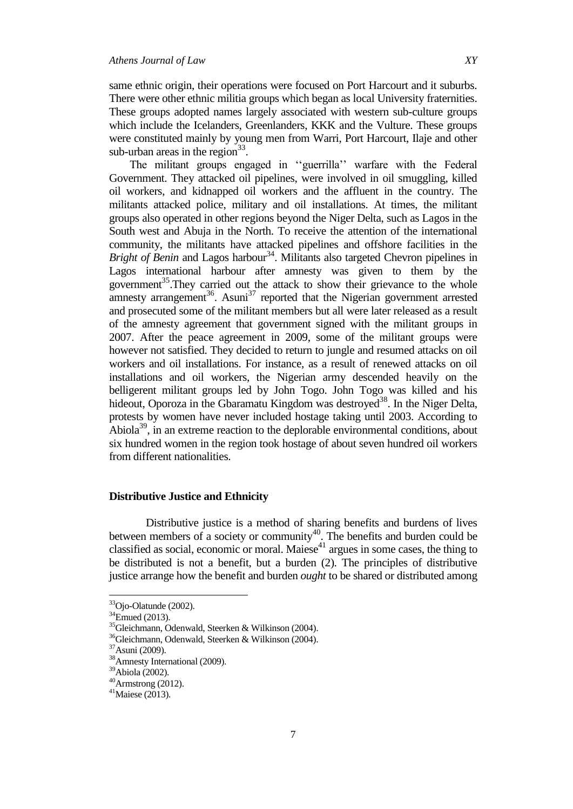same ethnic origin, their operations were focused on Port Harcourt and it suburbs. There were other ethnic militia groups which began as local University fraternities. These groups adopted names largely associated with western sub-culture groups which include the Icelanders, Greenlanders, KKK and the Vulture. These groups were constituted mainly by young men from Warri, Port Harcourt, Ilaje and other sub-urban areas in the region $33$ .

The militant groups engaged in "guerrilla" warfare with the Federal Government. They attacked oil pipelines, were involved in oil smuggling, killed oil workers, and kidnapped oil workers and the affluent in the country. The militants attacked police, military and oil installations. At times, the militant groups also operated in other regions beyond the Niger Delta, such as Lagos in the South west and Abuja in the North. To receive the attention of the international community, the militants have attacked pipelines and offshore facilities in the *Bright of Benin* and Lagos harbour<sup>34</sup>. Militants also targeted Chevron pipelines in Lagos international harbour after amnesty was given to them by the government<sup>35</sup>. They carried out the attack to show their grievance to the whole amnesty arrangement<sup>36</sup>. Asuni<sup>37</sup> reported that the Nigerian government arrested and prosecuted some of the militant members but all were later released as a result of the amnesty agreement that government signed with the militant groups in 2007. After the peace agreement in 2009, some of the militant groups were however not satisfied. They decided to return to jungle and resumed attacks on oil workers and oil installations. For instance, as a result of renewed attacks on oil installations and oil workers, the Nigerian army descended heavily on the belligerent militant groups led by John Togo. John Togo was killed and his hideout, Oporoza in the Gbaramatu Kingdom was destroyed<sup>38</sup>. In the Niger Delta, protests by women have never included hostage taking until 2003. According to Abiola<sup>39</sup>, in an extreme reaction to the deplorable environmental conditions, about six hundred women in the region took hostage of about seven hundred oil workers from different nationalities.

## **Distributive Justice and Ethnicity**

 Distributive justice is a method of sharing benefits and burdens of lives between members of a society or community<sup>40</sup>. The benefits and burden could be classified as social, economic or moral. Maiese $41$  argues in some cases, the thing to be distributed is not a benefit, but a burden (2). The principles of distributive justice arrange how the benefit and burden *ought* to be shared or distributed among

<sup>&</sup>lt;sup>33</sup>Ojo-Olatunde (2002).

 $34$ Emued (2013).

<sup>35</sup>Gleichmann, Odenwald, Steerken & Wilkinson (2004).

<sup>36</sup>Gleichmann, Odenwald, Steerken & Wilkinson (2004).

<sup>37</sup>Asuni (2009).

<sup>38</sup>Amnesty International (2009).

<sup>39</sup>Abiola (2002).

 $^{40}$ Armstrong (2012).

 $41$ Maiese (2013).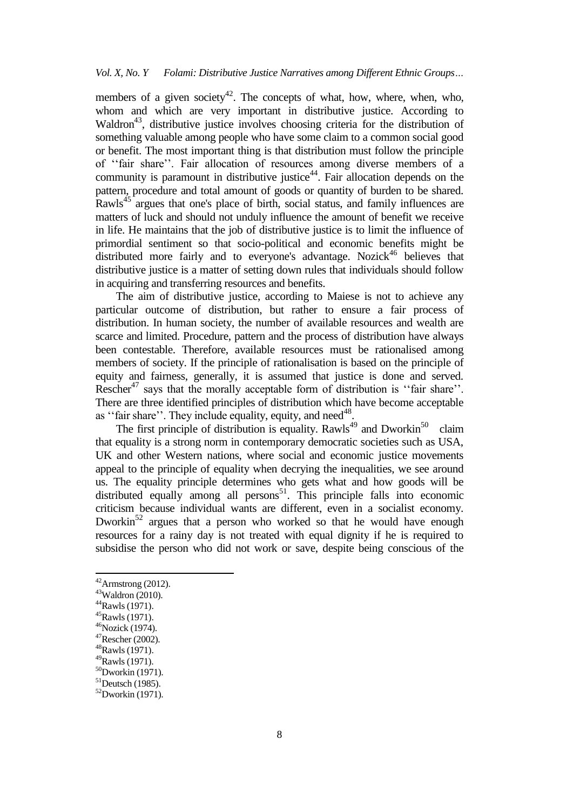members of a given society<sup>42</sup>. The concepts of what, how, where, when, who, whom and which are very important in distributive justice. According to Waldron<sup>43</sup>, distributive justice involves choosing criteria for the distribution of something valuable among people who have some claim to a common social good or benefit. The most important thing is that distribution must follow the principle of "fair share". Fair allocation of resources among diverse members of a community is paramount in distributive justice<sup>44</sup>. Fair allocation depends on the pattern, procedure and total amount of goods or quantity of burden to be shared. Rawls<sup>45</sup> argues that one's place of birth, social status, and family influences are matters of luck and should not unduly influence the amount of benefit we receive in life. He maintains that the job of distributive justice is to limit the influence of primordial sentiment so that socio-political and economic benefits might be distributed more fairly and to everyone's advantage. Nozick<sup>46</sup> believes that distributive justice is a matter of setting down rules that individuals should follow in acquiring and transferring resources and benefits.

The aim of distributive justice, according to Maiese is not to achieve any particular outcome of distribution, but rather to ensure a fair process of distribution. In human society, the number of available resources and wealth are scarce and limited. Procedure, pattern and the process of distribution have always been contestable. Therefore, available resources must be rationalised among members of society. If the principle of rationalisation is based on the principle of equity and fairness, generally, it is assumed that justice is done and served. Rescher<sup>47</sup> says that the morally acceptable form of distribution is "fair share". There are three identified principles of distribution which have become acceptable as "fair share". They include equality, equity, and need $48$ .

The first principle of distribution is equality. Rawls<sup>49</sup> and Dworkin<sup>50</sup> claim that equality is a strong norm in contemporary democratic societies such as USA, UK and other Western nations, where social and economic justice movements appeal to the principle of equality when decrying the inequalities, we see around us. The equality principle determines who gets what and how goods will be distributed equally among all persons<sup>51</sup>. This principle falls into economic criticism because individual wants are different, even in a socialist economy. Dworkin<sup>52</sup> argues that a person who worked so that he would have enough resources for a rainy day is not treated with equal dignity if he is required to subsidise the person who did not work or save, despite being conscious of the

 $\ddot{\phantom{a}}$ 

<sup>48</sup>Rawls (1971). <sup>49</sup>Rawls (1971).

 $42$ Armstrong (2012).

 $43$ Waldron (2010).

<sup>44</sup>Rawls (1971).

<sup>45</sup>Rawls (1971).

<sup>46</sup>Nozick (1974).

 $47$ Rescher (2002).

 $50$ Dworkin (1971).

 $51$ Deutsch (1985).

 $52$ Dworkin (1971).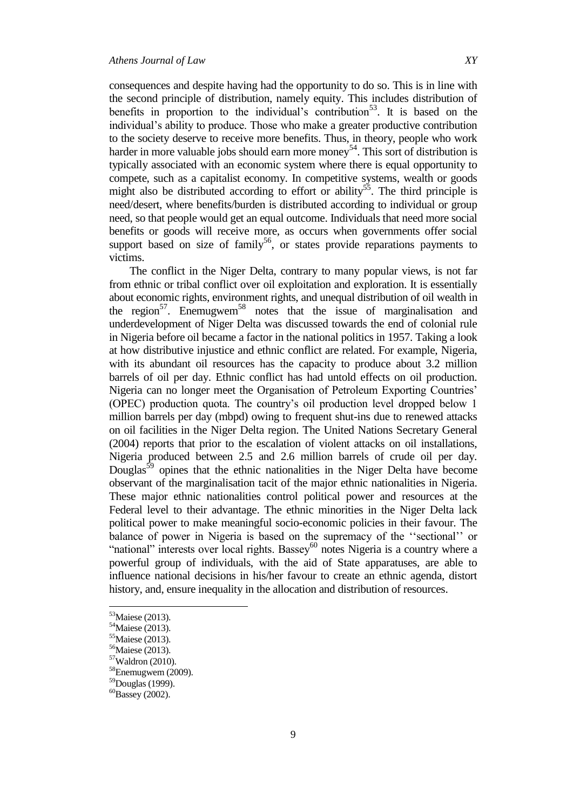consequences and despite having had the opportunity to do so. This is in line with the second principle of distribution, namely equity. This includes distribution of benefits in proportion to the individual's contribution<sup>53</sup>. It is based on the individual"s ability to produce. Those who make a greater productive contribution to the society deserve to receive more benefits. Thus, in theory, people who work harder in more valuable jobs should earn more money<sup>54</sup>. This sort of distribution is typically associated with an economic system where there is equal opportunity to compete, such as a capitalist economy. In competitive systems, wealth or goods might also be distributed according to effort or ability<sup>55</sup>. The third principle is need/desert, where benefits/burden is distributed according to individual or group need, so that people would get an equal outcome. Individuals that need more social benefits or goods will receive more, as occurs when governments offer social support based on size of family<sup>56</sup>, or states provide reparations payments to victims.

The conflict in the Niger Delta, contrary to many popular views, is not far from ethnic or tribal conflict over oil exploitation and exploration. It is essentially about economic rights, environment rights, and unequal distribution of oil wealth in the region<sup>57</sup>. Enemugwem<sup>58</sup> notes that the issue of marginalisation and underdevelopment of Niger Delta was discussed towards the end of colonial rule in Nigeria before oil became a factor in the national politics in 1957. Taking a look at how distributive injustice and ethnic conflict are related. For example, Nigeria, with its abundant oil resources has the capacity to produce about 3.2 million barrels of oil per day. Ethnic conflict has had untold effects on oil production. Nigeria can no longer meet the Organisation of Petroleum Exporting Countries" (OPEC) production quota. The country"s oil production level dropped below 1 million barrels per day (mbpd) owing to frequent shut-ins due to renewed attacks on oil facilities in the Niger Delta region. The United Nations Secretary General (2004) reports that prior to the escalation of violent attacks on oil installations, Nigeria produced between 2.5 and 2.6 million barrels of crude oil per day. Douglas<sup>59</sup> opines that the ethnic nationalities in the Niger Delta have become observant of the marginalisation tacit of the major ethnic nationalities in Nigeria. These major ethnic nationalities control political power and resources at the Federal level to their advantage. The ethnic minorities in the Niger Delta lack political power to make meaningful socio-economic policies in their favour. The balance of power in Nigeria is based on the supremacy of the "sectional" or "national" interests over local rights. Bassey $^{60}$  notes Nigeria is a country where a powerful group of individuals, with the aid of State apparatuses, are able to influence national decisions in his/her favour to create an ethnic agenda, distort history, and, ensure inequality in the allocation and distribution of resources.

 $\overline{\phantom{a}}$ 

<sup>&</sup>lt;sup>53</sup>Maiese (2013).

<sup>54</sup>Maiese (2013).

<sup>55</sup>Maiese (2013).

<sup>56</sup>Maiese (2013).

<sup>57</sup>Waldron (2010).

 $58$ Enemugwem (2009).

<sup>59</sup>Douglas (1999).

 ${}^{60}$ Bassey (2002).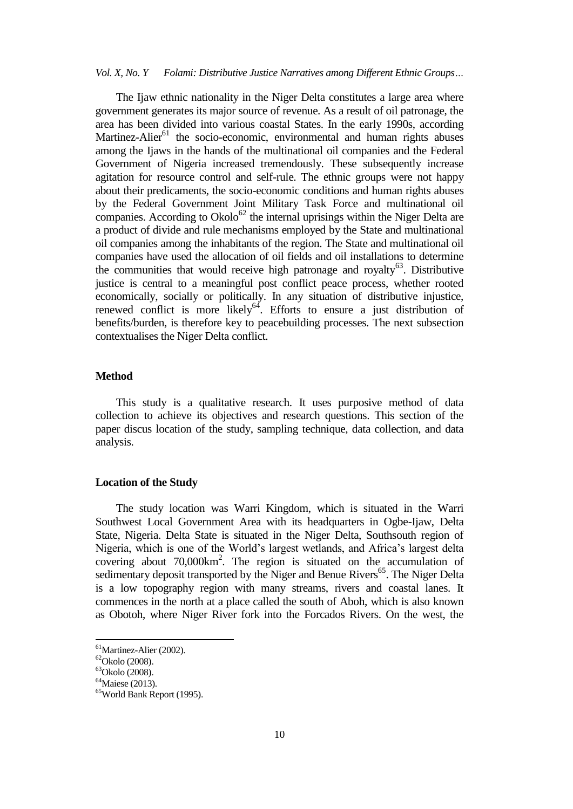The Ijaw ethnic nationality in the Niger Delta constitutes a large area where government generates its major source of revenue. As a result of oil patronage, the area has been divided into various coastal States. In the early 1990s, according Martinez-Alier<sup>61</sup> the socio-economic, environmental and human rights abuses among the Ijaws in the hands of the multinational oil companies and the Federal Government of Nigeria increased tremendously. These subsequently increase agitation for resource control and self-rule. The ethnic groups were not happy about their predicaments, the socio-economic conditions and human rights abuses by the Federal Government Joint Military Task Force and multinational oil companies. According to  $Okolo^{62}$  the internal uprisings within the Niger Delta are a product of divide and rule mechanisms employed by the State and multinational oil companies among the inhabitants of the region. The State and multinational oil companies have used the allocation of oil fields and oil installations to determine the communities that would receive high patronage and royalty<sup>63</sup>. Distributive justice is central to a meaningful post conflict peace process, whether rooted economically, socially or politically. In any situation of distributive injustice, renewed conflict is more likely $64$ . Efforts to ensure a just distribution of benefits/burden, is therefore key to peacebuilding processes. The next subsection contextualises the Niger Delta conflict.

## **Method**

This study is a qualitative research. It uses purposive method of data collection to achieve its objectives and research questions. This section of the paper discus location of the study, sampling technique, data collection, and data analysis.

#### **Location of the Study**

The study location was Warri Kingdom, which is situated in the Warri Southwest Local Government Area with its headquarters in Ogbe-Ijaw, Delta State, Nigeria. Delta State is situated in the Niger Delta, Southsouth region of Nigeria, which is one of the World"s largest wetlands, and Africa"s largest delta covering about 70,000km<sup>2</sup>. The region is situated on the accumulation of sedimentary deposit transported by the Niger and Benue Rivers<sup>65</sup>. The Niger Delta is a low topography region with many streams, rivers and coastal lanes. It commences in the north at a place called the south of Aboh, which is also known as Obotoh, where Niger River fork into the Forcados Rivers. On the west, the

 $\ddot{\phantom{a}}$ 

<sup>&</sup>lt;sup>61</sup>Martinez-Alier (2002).

 ${}^{62}$ Okolo (2008).

 $63$ Okolo (2008).

 $64$ Maiese (2013).

<sup>65</sup>World Bank Report (1995).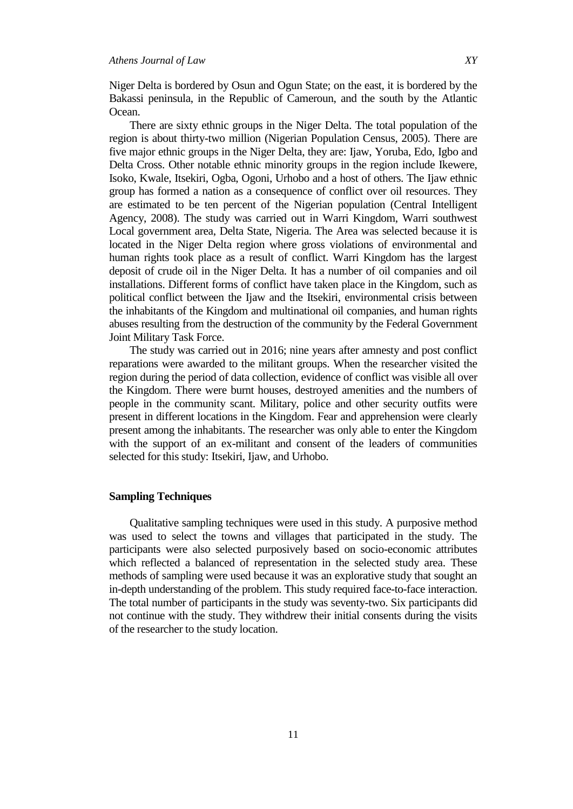Niger Delta is bordered by Osun and Ogun State; on the east, it is bordered by the Bakassi peninsula, in the Republic of Cameroun, and the south by the Atlantic Ocean.

There are sixty ethnic groups in the Niger Delta. The total population of the region is about thirty-two million (Nigerian Population Census, 2005). There are five major ethnic groups in the Niger Delta, they are: Ijaw, Yoruba, Edo, Igbo and Delta Cross. Other notable ethnic minority groups in the region include Ikewere, Isoko, Kwale, Itsekiri, Ogba, Ogoni, Urhobo and a host of others. The Ijaw ethnic group has formed a nation as a consequence of conflict over oil resources. They are estimated to be ten percent of the Nigerian population (Central Intelligent Agency, 2008). The study was carried out in Warri Kingdom, Warri southwest Local government area, Delta State, Nigeria. The Area was selected because it is located in the Niger Delta region where gross violations of environmental and human rights took place as a result of conflict. Warri Kingdom has the largest deposit of crude oil in the Niger Delta. It has a number of oil companies and oil installations. Different forms of conflict have taken place in the Kingdom, such as political conflict between the Ijaw and the Itsekiri, environmental crisis between the inhabitants of the Kingdom and multinational oil companies, and human rights abuses resulting from the destruction of the community by the Federal Government Joint Military Task Force.

The study was carried out in 2016; nine years after amnesty and post conflict reparations were awarded to the militant groups. When the researcher visited the region during the period of data collection, evidence of conflict was visible all over the Kingdom. There were burnt houses, destroyed amenities and the numbers of people in the community scant. Military, police and other security outfits were present in different locations in the Kingdom. Fear and apprehension were clearly present among the inhabitants. The researcher was only able to enter the Kingdom with the support of an ex-militant and consent of the leaders of communities selected for this study: Itsekiri, Ijaw, and Urhobo.

#### **Sampling Techniques**

Qualitative sampling techniques were used in this study. A purposive method was used to select the towns and villages that participated in the study. The participants were also selected purposively based on socio-economic attributes which reflected a balanced of representation in the selected study area. These methods of sampling were used because it was an explorative study that sought an in-depth understanding of the problem. This study required face-to-face interaction. The total number of participants in the study was seventy-two. Six participants did not continue with the study. They withdrew their initial consents during the visits of the researcher to the study location.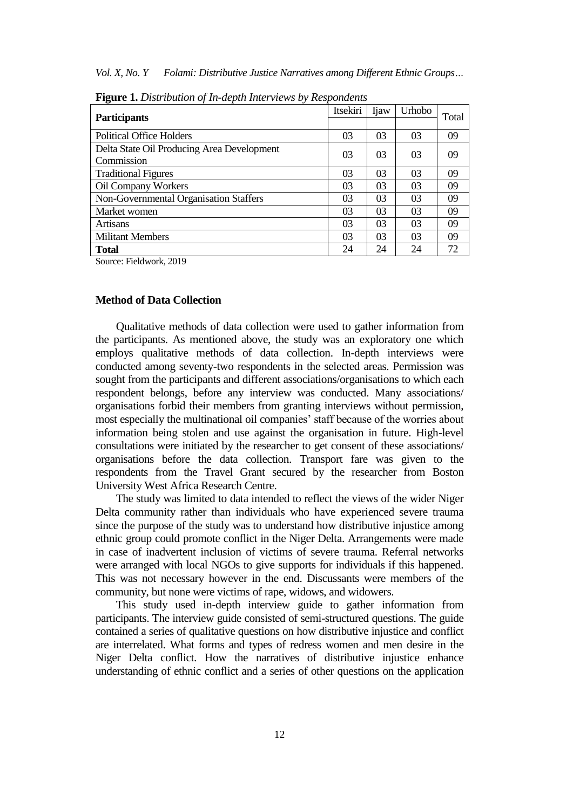*Vol. X, No. Y Folami: Distributive Justice Narratives among Different Ethnic Groups…*

| <b>Participants</b>                        | Itsekiri | <b>I</b> jaw | Urhobo | Total |
|--------------------------------------------|----------|--------------|--------|-------|
|                                            |          |              |        |       |
| <b>Political Office Holders</b>            | 03       | 03           | 03     | 09    |
| Delta State Oil Producing Area Development | 03       | 03           | 03     | 09    |
| Commission                                 |          |              |        |       |
| <b>Traditional Figures</b>                 | 03       | 03           | 03     | 09    |
| Oil Company Workers                        | 03       | 03           | 03     | 09    |
| Non-Governmental Organisation Staffers     | 03       | 03           | 03     | 09    |
| Market women                               | 03       | 03           | 03     | 09    |
| Artisans                                   | 03       | 03           | 03     | 09    |
| <b>Militant Members</b>                    | 03       | 03           | 03     | 09    |
| Total                                      | 24       | 24           | 24     | 72    |

**Figure 1.** *Distribution of In-depth Interviews by Respondents*

Source: Fieldwork, 2019

#### **Method of Data Collection**

Qualitative methods of data collection were used to gather information from the participants. As mentioned above, the study was an exploratory one which employs qualitative methods of data collection. In-depth interviews were conducted among seventy-two respondents in the selected areas. Permission was sought from the participants and different associations/organisations to which each respondent belongs, before any interview was conducted. Many associations/ organisations forbid their members from granting interviews without permission, most especially the multinational oil companies' staff because of the worries about information being stolen and use against the organisation in future. High-level consultations were initiated by the researcher to get consent of these associations/ organisations before the data collection. Transport fare was given to the respondents from the Travel Grant secured by the researcher from Boston University West Africa Research Centre.

The study was limited to data intended to reflect the views of the wider Niger Delta community rather than individuals who have experienced severe trauma since the purpose of the study was to understand how distributive injustice among ethnic group could promote conflict in the Niger Delta. Arrangements were made in case of inadvertent inclusion of victims of severe trauma. Referral networks were arranged with local NGOs to give supports for individuals if this happened. This was not necessary however in the end. Discussants were members of the community, but none were victims of rape, widows, and widowers.

This study used in-depth interview guide to gather information from participants. The interview guide consisted of semi-structured questions. The guide contained a series of qualitative questions on how distributive injustice and conflict are interrelated. What forms and types of redress women and men desire in the Niger Delta conflict. How the narratives of distributive injustice enhance understanding of ethnic conflict and a series of other questions on the application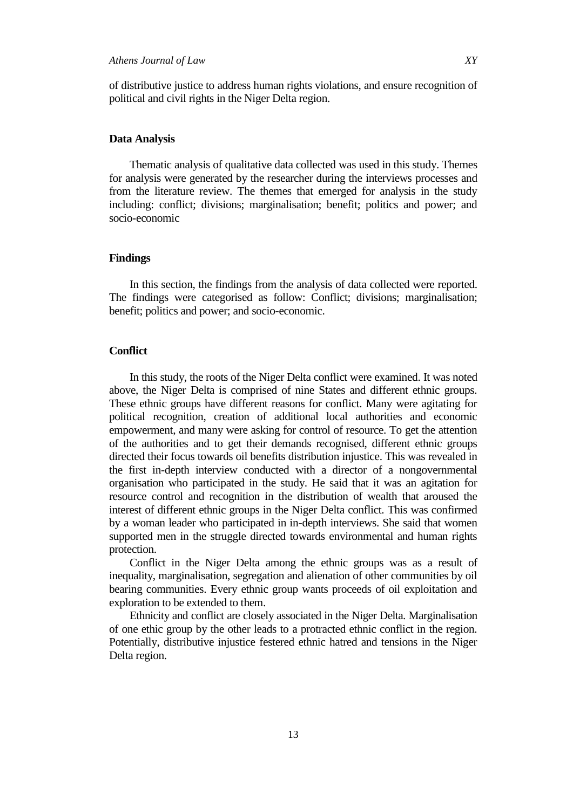## *Athens Journal of Law XY*

of distributive justice to address human rights violations, and ensure recognition of political and civil rights in the Niger Delta region.

#### **Data Analysis**

Thematic analysis of qualitative data collected was used in this study. Themes for analysis were generated by the researcher during the interviews processes and from the literature review. The themes that emerged for analysis in the study including: conflict; divisions; marginalisation; benefit; politics and power; and socio-economic

#### **Findings**

In this section, the findings from the analysis of data collected were reported. The findings were categorised as follow: Conflict; divisions; marginalisation; benefit; politics and power; and socio-economic.

#### **Conflict**

In this study, the roots of the Niger Delta conflict were examined. It was noted above, the Niger Delta is comprised of nine States and different ethnic groups. These ethnic groups have different reasons for conflict. Many were agitating for political recognition, creation of additional local authorities and economic empowerment, and many were asking for control of resource. To get the attention of the authorities and to get their demands recognised, different ethnic groups directed their focus towards oil benefits distribution injustice. This was revealed in the first in-depth interview conducted with a director of a nongovernmental organisation who participated in the study. He said that it was an agitation for resource control and recognition in the distribution of wealth that aroused the interest of different ethnic groups in the Niger Delta conflict. This was confirmed by a woman leader who participated in in-depth interviews. She said that women supported men in the struggle directed towards environmental and human rights protection.

Conflict in the Niger Delta among the ethnic groups was as a result of inequality, marginalisation, segregation and alienation of other communities by oil bearing communities. Every ethnic group wants proceeds of oil exploitation and exploration to be extended to them.

Ethnicity and conflict are closely associated in the Niger Delta. Marginalisation of one ethic group by the other leads to a protracted ethnic conflict in the region. Potentially, distributive injustice festered ethnic hatred and tensions in the Niger Delta region.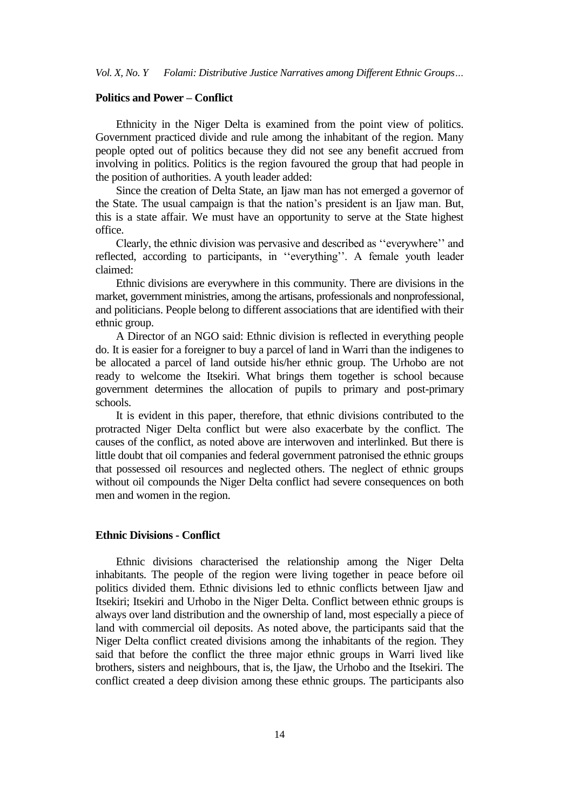## **Politics and Power – Conflict**

Ethnicity in the Niger Delta is examined from the point view of politics. Government practiced divide and rule among the inhabitant of the region. Many people opted out of politics because they did not see any benefit accrued from involving in politics. Politics is the region favoured the group that had people in the position of authorities. A youth leader added:

Since the creation of Delta State, an Ijaw man has not emerged a governor of the State. The usual campaign is that the nation"s president is an Ijaw man. But, this is a state affair. We must have an opportunity to serve at the State highest office.

Clearly, the ethnic division was pervasive and described as "everywhere" and reflected, according to participants, in "everything". A female youth leader claimed:

Ethnic divisions are everywhere in this community. There are divisions in the market, government ministries, among the artisans, professionals and nonprofessional, and politicians. People belong to different associations that are identified with their ethnic group.

A Director of an NGO said: Ethnic division is reflected in everything people do. It is easier for a foreigner to buy a parcel of land in Warri than the indigenes to be allocated a parcel of land outside his/her ethnic group. The Urhobo are not ready to welcome the Itsekiri. What brings them together is school because government determines the allocation of pupils to primary and post-primary schools.

It is evident in this paper, therefore, that ethnic divisions contributed to the protracted Niger Delta conflict but were also exacerbate by the conflict. The causes of the conflict, as noted above are interwoven and interlinked. But there is little doubt that oil companies and federal government patronised the ethnic groups that possessed oil resources and neglected others. The neglect of ethnic groups without oil compounds the Niger Delta conflict had severe consequences on both men and women in the region.

#### **Ethnic Divisions - Conflict**

Ethnic divisions characterised the relationship among the Niger Delta inhabitants. The people of the region were living together in peace before oil politics divided them. Ethnic divisions led to ethnic conflicts between Ijaw and Itsekiri; Itsekiri and Urhobo in the Niger Delta. Conflict between ethnic groups is always over land distribution and the ownership of land, most especially a piece of land with commercial oil deposits. As noted above, the participants said that the Niger Delta conflict created divisions among the inhabitants of the region. They said that before the conflict the three major ethnic groups in Warri lived like brothers, sisters and neighbours, that is, the Ijaw, the Urhobo and the Itsekiri. The conflict created a deep division among these ethnic groups. The participants also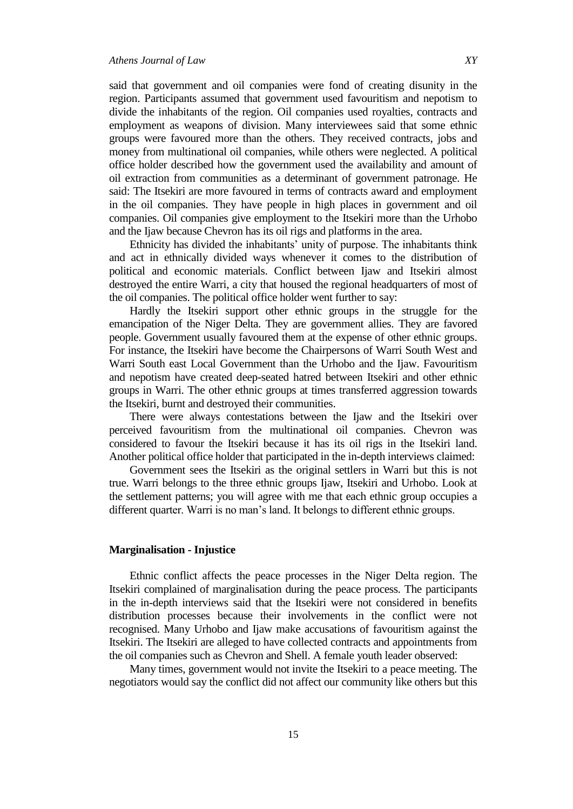said that government and oil companies were fond of creating disunity in the region. Participants assumed that government used favouritism and nepotism to divide the inhabitants of the region. Oil companies used royalties, contracts and employment as weapons of division. Many interviewees said that some ethnic groups were favoured more than the others. They received contracts, jobs and money from multinational oil companies, while others were neglected. A political office holder described how the government used the availability and amount of oil extraction from communities as a determinant of government patronage. He said: The Itsekiri are more favoured in terms of contracts award and employment in the oil companies. They have people in high places in government and oil companies. Oil companies give employment to the Itsekiri more than the Urhobo and the Ijaw because Chevron has its oil rigs and platforms in the area.

Ethnicity has divided the inhabitants' unity of purpose. The inhabitants think and act in ethnically divided ways whenever it comes to the distribution of political and economic materials. Conflict between Ijaw and Itsekiri almost destroyed the entire Warri, a city that housed the regional headquarters of most of the oil companies. The political office holder went further to say:

Hardly the Itsekiri support other ethnic groups in the struggle for the emancipation of the Niger Delta. They are government allies. They are favored people. Government usually favoured them at the expense of other ethnic groups. For instance, the Itsekiri have become the Chairpersons of Warri South West and Warri South east Local Government than the Urhobo and the Ijaw. Favouritism and nepotism have created deep-seated hatred between Itsekiri and other ethnic groups in Warri. The other ethnic groups at times transferred aggression towards the Itsekiri, burnt and destroyed their communities.

There were always contestations between the Ijaw and the Itsekiri over perceived favouritism from the multinational oil companies. Chevron was considered to favour the Itsekiri because it has its oil rigs in the Itsekiri land. Another political office holder that participated in the in-depth interviews claimed:

Government sees the Itsekiri as the original settlers in Warri but this is not true. Warri belongs to the three ethnic groups Ijaw, Itsekiri and Urhobo. Look at the settlement patterns; you will agree with me that each ethnic group occupies a different quarter. Warri is no man"s land. It belongs to different ethnic groups.

#### **Marginalisation - Injustice**

Ethnic conflict affects the peace processes in the Niger Delta region. The Itsekiri complained of marginalisation during the peace process. The participants in the in-depth interviews said that the Itsekiri were not considered in benefits distribution processes because their involvements in the conflict were not recognised. Many Urhobo and Ijaw make accusations of favouritism against the Itsekiri. The Itsekiri are alleged to have collected contracts and appointments from the oil companies such as Chevron and Shell. A female youth leader observed:

Many times, government would not invite the Itsekiri to a peace meeting. The negotiators would say the conflict did not affect our community like others but this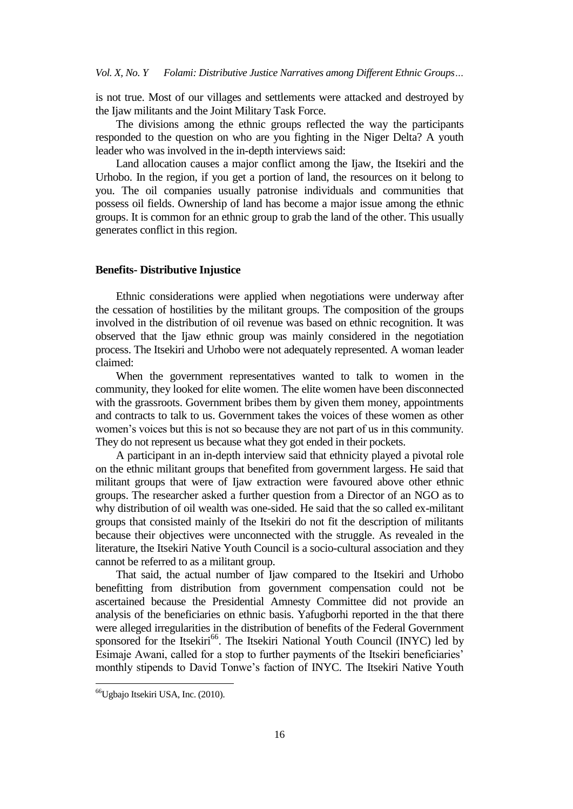is not true. Most of our villages and settlements were attacked and destroyed by the Ijaw militants and the Joint Military Task Force.

The divisions among the ethnic groups reflected the way the participants responded to the question on who are you fighting in the Niger Delta? A youth leader who was involved in the in-depth interviews said:

Land allocation causes a major conflict among the Ijaw, the Itsekiri and the Urhobo. In the region, if you get a portion of land, the resources on it belong to you. The oil companies usually patronise individuals and communities that possess oil fields. Ownership of land has become a major issue among the ethnic groups. It is common for an ethnic group to grab the land of the other. This usually generates conflict in this region.

#### **Benefits- Distributive Injustice**

Ethnic considerations were applied when negotiations were underway after the cessation of hostilities by the militant groups. The composition of the groups involved in the distribution of oil revenue was based on ethnic recognition. It was observed that the Ijaw ethnic group was mainly considered in the negotiation process. The Itsekiri and Urhobo were not adequately represented. A woman leader claimed:

When the government representatives wanted to talk to women in the community, they looked for elite women. The elite women have been disconnected with the grassroots. Government bribes them by given them money, appointments and contracts to talk to us. Government takes the voices of these women as other women"s voices but this is not so because they are not part of us in this community. They do not represent us because what they got ended in their pockets.

A participant in an in-depth interview said that ethnicity played a pivotal role on the ethnic militant groups that benefited from government largess. He said that militant groups that were of Ijaw extraction were favoured above other ethnic groups. The researcher asked a further question from a Director of an NGO as to why distribution of oil wealth was one-sided. He said that the so called ex-militant groups that consisted mainly of the Itsekiri do not fit the description of militants because their objectives were unconnected with the struggle. As revealed in the literature, the Itsekiri Native Youth Council is a socio-cultural association and they cannot be referred to as a militant group.

That said, the actual number of Ijaw compared to the Itsekiri and Urhobo benefitting from distribution from government compensation could not be ascertained because the Presidential Amnesty Committee did not provide an analysis of the beneficiaries on ethnic basis. Yafugborhi reported in the that there were alleged irregularities in the distribution of benefits of the Federal Government sponsored for the Itsekiri<sup>66</sup>. The Itsekiri National Youth Council (INYC) led by Esimaje Awani, called for a stop to further payments of the Itsekiri beneficiaries" monthly stipends to David Tonwe"s faction of INYC. The Itsekiri Native Youth

1

<sup>66</sup>Ugbajo Itsekiri USA, Inc. (2010).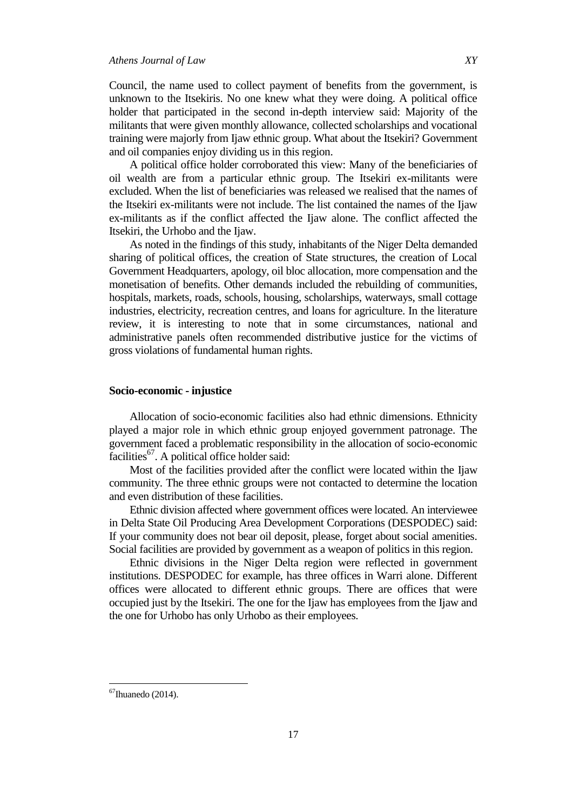Council, the name used to collect payment of benefits from the government, is unknown to the Itsekiris. No one knew what they were doing. A political office holder that participated in the second in-depth interview said: Majority of the militants that were given monthly allowance, collected scholarships and vocational training were majorly from Ijaw ethnic group. What about the Itsekiri? Government and oil companies enjoy dividing us in this region.

A political office holder corroborated this view: Many of the beneficiaries of oil wealth are from a particular ethnic group. The Itsekiri ex-militants were excluded. When the list of beneficiaries was released we realised that the names of the Itsekiri ex-militants were not include. The list contained the names of the Ijaw ex-militants as if the conflict affected the Ijaw alone. The conflict affected the Itsekiri, the Urhobo and the Ijaw.

As noted in the findings of this study, inhabitants of the Niger Delta demanded sharing of political offices, the creation of State structures, the creation of Local Government Headquarters, apology, oil bloc allocation, more compensation and the monetisation of benefits. Other demands included the rebuilding of communities, hospitals, markets, roads, schools, housing, scholarships, waterways, small cottage industries, electricity, recreation centres, and loans for agriculture. In the literature review, it is interesting to note that in some circumstances, national and administrative panels often recommended distributive justice for the victims of gross violations of fundamental human rights.

#### **Socio-economic - injustice**

Allocation of socio-economic facilities also had ethnic dimensions. Ethnicity played a major role in which ethnic group enjoyed government patronage. The government faced a problematic responsibility in the allocation of socio-economic facilities<sup>67</sup>. A political office holder said:

Most of the facilities provided after the conflict were located within the Ijaw community. The three ethnic groups were not contacted to determine the location and even distribution of these facilities.

Ethnic division affected where government offices were located. An interviewee in Delta State Oil Producing Area Development Corporations (DESPODEC) said: If your community does not bear oil deposit, please, forget about social amenities. Social facilities are provided by government as a weapon of politics in this region.

Ethnic divisions in the Niger Delta region were reflected in government institutions. DESPODEC for example, has three offices in Warri alone. Different offices were allocated to different ethnic groups. There are offices that were occupied just by the Itsekiri. The one for the Ijaw has employees from the Ijaw and the one for Urhobo has only Urhobo as their employees.

 $67$ Ihuanedo (2014).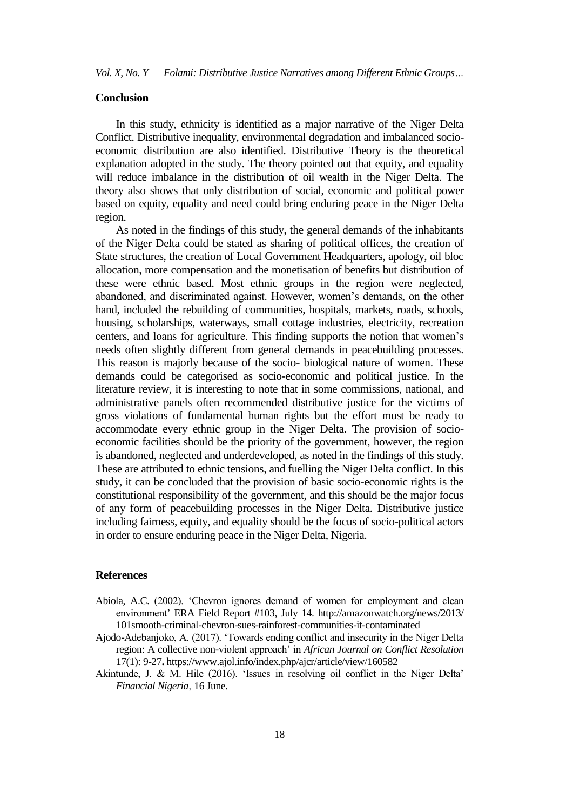## **Conclusion**

In this study, ethnicity is identified as a major narrative of the Niger Delta Conflict. Distributive inequality, environmental degradation and imbalanced socioeconomic distribution are also identified. Distributive Theory is the theoretical explanation adopted in the study. The theory pointed out that equity, and equality will reduce imbalance in the distribution of oil wealth in the Niger Delta. The theory also shows that only distribution of social, economic and political power based on equity, equality and need could bring enduring peace in the Niger Delta region.

As noted in the findings of this study, the general demands of the inhabitants of the Niger Delta could be stated as sharing of political offices, the creation of State structures, the creation of Local Government Headquarters, apology, oil bloc allocation, more compensation and the monetisation of benefits but distribution of these were ethnic based. Most ethnic groups in the region were neglected, abandoned, and discriminated against. However, women"s demands, on the other hand, included the rebuilding of communities, hospitals, markets, roads, schools, housing, scholarships, waterways, small cottage industries, electricity, recreation centers, and loans for agriculture. This finding supports the notion that women"s needs often slightly different from general demands in peacebuilding processes. This reason is majorly because of the socio- biological nature of women. These demands could be categorised as socio-economic and political justice. In the literature review, it is interesting to note that in some commissions, national, and administrative panels often recommended distributive justice for the victims of gross violations of fundamental human rights but the effort must be ready to accommodate every ethnic group in the Niger Delta. The provision of socioeconomic facilities should be the priority of the government, however, the region is abandoned, neglected and underdeveloped, as noted in the findings of this study. These are attributed to ethnic tensions, and fuelling the Niger Delta conflict. In this study, it can be concluded that the provision of basic socio-economic rights is the constitutional responsibility of the government, and this should be the major focus of any form of peacebuilding processes in the Niger Delta. Distributive justice including fairness, equity, and equality should be the focus of socio-political actors in order to ensure enduring peace in the Niger Delta, Nigeria.

## **References**

- Abiola, A.C. (2002). "Chevron ignores demand of women for employment and clean environment" ERA Field Report #103, July 14. http://amazonwatch.org/news/2013/ 101smooth-criminal-chevron-sues-rainforest-communities-it-contaminated
- Ajodo-Adebanjoko, A. (2017). "Towards ending conflict and insecurity in the Niger Delta region: A collective non-violent approach" in *African Journal on Conflict Resolution* 17(1): 9-27**.** https://www.ajol.info/index.php/ajcr/article/view/160582
- Akintunde, J. & M. Hile (2016). "Issues in resolving oil conflict in the Niger Delta" *Financial Nigeria*, 16 June.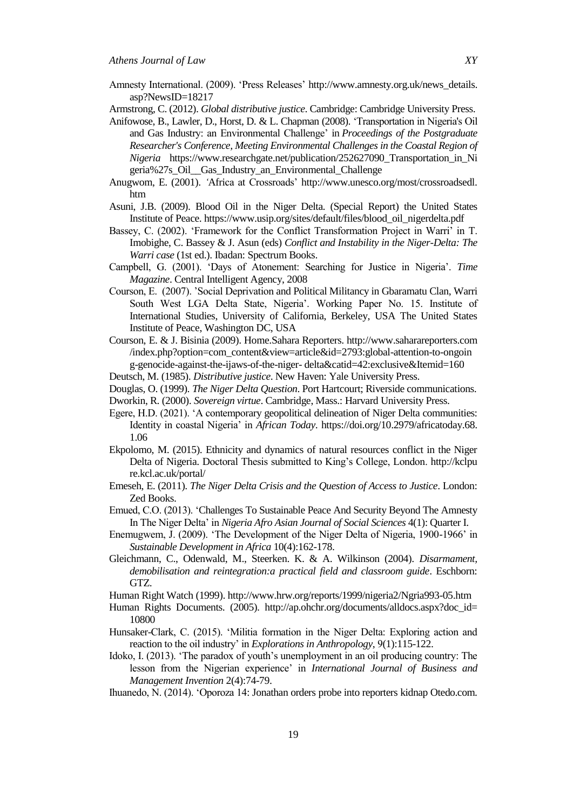- Amnesty International. (2009). "Press Releases" http://www.amnesty.org.uk/news\_details. asp?NewsID=18217
- Armstrong, C. (2012). *Global distributive justice*. Cambridge: Cambridge University Press.
- Anifowose, B., Lawler, D., Horst, D. & L. Chapman (2008). "Transportation in Nigeria's Oil and Gas Industry: an Environmental Challenge' in *Proceedings of the Postgraduate Researcher's Conference, Meeting Environmental Challenges in the Coastal Region of Nigeria* https://www.researchgate.net/publication/252627090\_Transportation\_in\_Ni geria%27s\_Oil\_\_Gas\_Industry\_an\_Environmental\_Challenge
- Anugwom, E. (2001). *'*Africa at Crossroads" http://www.unesco.org/most/crossroadsedl. htm
- Asuni, J.B. (2009). Blood Oil in the Niger Delta. (Special Report) the United States Institute of Peace. https://www.usip.org/sites/default/files/blood\_oil\_nigerdelta.pdf
- Bassey, C. (2002). "Framework for the Conflict Transformation Project in Warri" in T. Imobighe, C. Bassey & J. Asun (eds) *Conflict and Instability in the Niger-Delta: The Warri case* (1st ed.). Ibadan: Spectrum Books.
- Campbell, G. (2001). 'Days of Atonement: Searching for Justice in Nigeria'. Time *Magazine*. Central Intelligent Agency, 2008
- Courson, E. (2007). "Social Deprivation and Political Militancy in Gbaramatu Clan, Warri South West LGA Delta State, Nigeria'. Working Paper No. 15. Institute of International Studies, University of California, Berkeley, USA The United States Institute of Peace, Washington DC, USA
- Courson, E. & J. Bisinia (2009). Home.Sahara Reporters. http://www.saharareporters.com /index.php?option=com\_content&view=article&id=2793:global-attention-to-ongoin g-genocide-against-the-ijaws-of-the-niger- delta&catid=42:exclusive&Itemid=160
- Deutsch, M. (1985). *Distributive justice*. New Haven: Yale University Press.
- Douglas, O. (1999). *The Niger Delta Question*. Port Hartcourt; Riverside communications.
- Dworkin, R. (2000). *Sovereign virtue*. Cambridge, Mass.: Harvard University Press.
- Egere, H.D. (2021). "A contemporary geopolitical delineation of Niger Delta communities: Identity in coastal Nigeria" in *African Today*. https://doi.org/10.2979/africatoday.68. 1.06
- Ekpolomo, M. (2015). Ethnicity and dynamics of natural resources conflict in the Niger Delta of Nigeria. Doctoral Thesis submitted to King's College, London. http://kclpu re.kcl.ac.uk/portal/
- Emeseh, E. (2011). *The Niger Delta Crisis and the Question of Access to Justice*. London: Zed Books.
- Emued, C.O. (2013). "Challenges To Sustainable Peace And Security Beyond The Amnesty In The Niger Delta" in *Nigeria Afro Asian Journal of Social Sciences* 4(1): Quarter I.
- Enemugwem, J. (2009). "The Development of the Niger Delta of Nigeria, 1900-1966" in *Sustainable Development in Africa* 10(4):162-178.
- Gleichmann, C., Odenwald, M., Steerken. K. & A. Wilkinson (2004). *Disarmament, demobilisation and reintegration:a practical field and classroom guide*. Eschborn: GTZ.
- Human Right Watch (1999). http://www.hrw.org/reports/1999/nigeria2/Ngria993-05.htm
- Human Rights Documents. (2005). http://ap.ohchr.org/documents/alldocs.aspx?doc\_id= 10800
- Hunsaker-Clark, C. (2015). "Militia formation in the Niger Delta: Exploring action and reaction to the oil industry" in *Explorations in Anthropology*, 9(1):115-122.
- Idoko, I. (2013). 'The paradox of youth's unemployment in an oil producing country: The lesson from the Nigerian experience" in *International Journal of Business and Management Invention* 2(4):74-79.
- Ihuanedo, N. (2014). "Oporoza 14: Jonathan orders probe into reporters kidnap Otedo.com.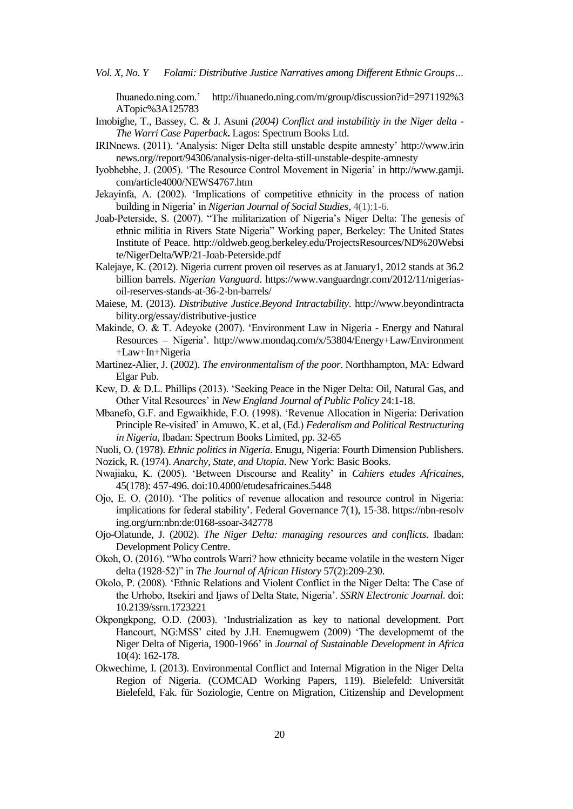Ihuanedo.ning.com." http://ihuanedo.ning.com/m/group/discussion?id=2971192%3 ATopic%3A125783

- Imobighe, T., Bassey, C. & J. Asuni *(2004) Conflict and instabilitiy in the Niger delta The Warri Case Paperback***.** Lagos: Spectrum Books Ltd.
- IRINnews. (2011). "Analysis: Niger Delta still unstable despite amnesty" http://www.irin news.org//report/94306/analysis-niger-delta-still-unstable-despite-amnesty
- Iyobhebhe, J. (2005). "The Resource Control Movement in Nigeria" in http://www.gamji. com/article4000/NEWS4767.htm
- Jekayinfa, A. (2002). "Implications of competitive ethnicity in the process of nation building in Nigeria" in *Nigerian Journal of Social Studies*, 4(1):1-6.
- Joab-Peterside, S. (2007). "The militarization of Nigeria"s Niger Delta: The genesis of ethnic militia in Rivers State Nigeria" Working paper, Berkeley: The United States Institute of Peace. http://oldweb.geog.berkeley.edu/ProjectsResources/ND%20Websi te/NigerDelta/WP/21-Joab-Peterside.pdf
- Kalejaye, K. (2012). Nigeria current proven oil reserves as at January1, 2012 stands at 36.2 billion barrels. *Nigerian Vanguard*. https://www.vanguardngr.com/2012/11/nigeriasoil-reserves-stands-at-36-2-bn-barrels/
- Maiese, M. (2013). *Distributive Justice.Beyond Intractability*. http://www.beyondintracta bility.org/essay/distributive-justice
- Makinde, O. & T. Adeyoke (2007). "Environment Law in Nigeria Energy and Natural Resources – Nigeria". http://www.mondaq.com/x/53804/Energy+Law/Environment +Law+In+Nigeria
- Martinez-Alier, J. (2002). *The environmentalism of the poor*. Northhampton, MA: Edward Elgar Pub.
- Kew, D. & D.L. Phillips (2013). "Seeking Peace in the Niger Delta: Oil, Natural Gas, and Other Vital Resources" in *New England Journal of Public Policy* 24:1-18.
- Mbanefo, G.F. and Egwaikhide, F.O. (1998). "Revenue Allocation in Nigeria: Derivation Principle Re-visited" in Amuwo, K. et al, (Ed.) *Federalism and Political Restructuring in Nigeria*, Ibadan: Spectrum Books Limited, pp. 32-65

Nuoli, O. (1978). *Ethnic politics in Nigeria*. Enugu, Nigeria: Fourth Dimension Publishers.

- Nozick, R. (1974). *Anarchy, State, and Utopia*. New York: Basic Books.
- Nwajiaku, K. (2005). "Between Discourse and Reality" in *Cahiers etudes Africaines*, 45(178): 457-496. doi:10.4000/etudesafricaines.5448
- Ojo, E. O. (2010). "The politics of revenue allocation and resource control in Nigeria: implications for federal stability". Federal Governance 7(1), 15-38. https://nbn-resolv ing.org/urn:nbn:de:0168-ssoar-342778
- Ojo-Olatunde, J. (2002). *The Niger Delta: managing resources and conflicts*. Ibadan: Development Policy Centre.
- Okoh, O. (2016). "Who controls Warri? how ethnicity became volatile in the western Niger delta (1928-52)" in *The Journal of African History* 57(2):209-230.
- Okolo, P. (2008). "Ethnic Relations and Violent Conflict in the Niger Delta: The Case of the Urhobo, Itsekiri and Ijaws of Delta State, Nigeria". *SSRN Electronic Journal*. doi: 10.2139/ssrn.1723221
- Okpongkpong, O.D. (2003). "Industrialization as key to national development. Port Hancourt, NG:MSS' cited by J.H. Enemugwem (2009) 'The developmemt of the Niger Delta of Nigeria, 1900-1966" in *Journal of Sustainable Development in Africa* 10(4): 162-178.
- Okwechime, I. (2013). Environmental Conflict and Internal Migration in the Niger Delta Region of Nigeria. (COMCAD Working Papers, 119). Bielefeld: Universität Bielefeld, Fak. für Soziologie, Centre on Migration, Citizenship and Development